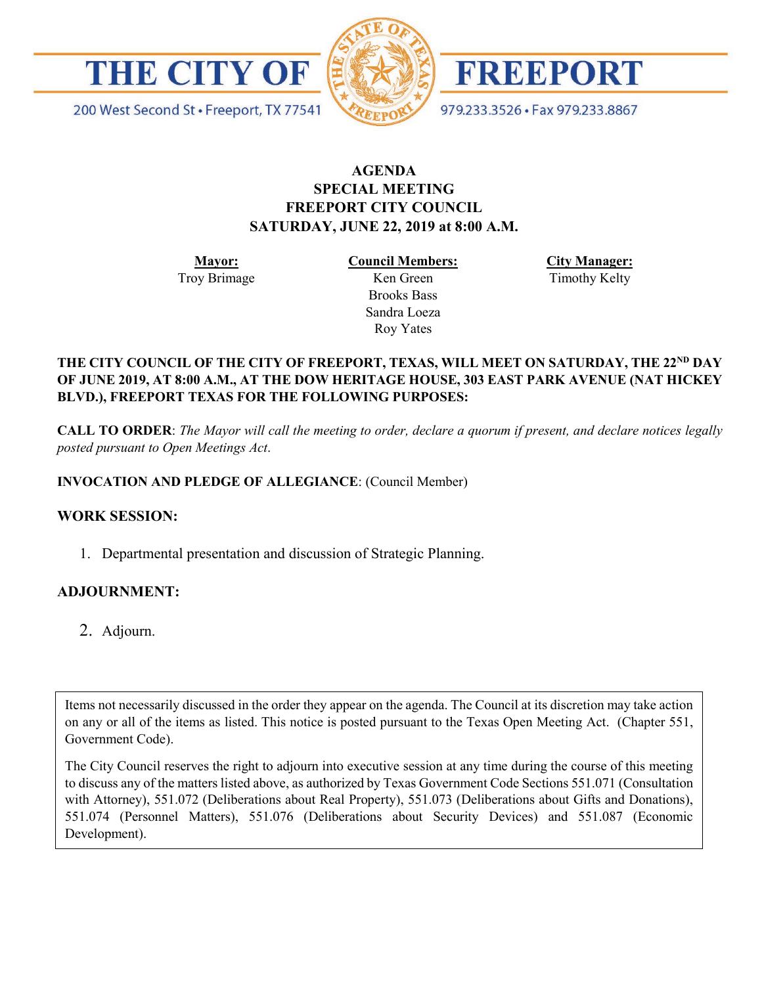



FREEPORT

979.233.3526 · Fax 979.233.8867

200 West Second St · Freeport, TX 77541

# **AGENDA SPECIAL MEETING FREEPORT CITY COUNCIL SATURDAY, JUNE 22, 2019 at 8:00 A.M.**

**Mayor:** Troy Brimage **Council Members:** Ken Green

> Brooks Bass Sandra Loeza Roy Yates

**City Manager:**

Timothy Kelty

### THE CITY COUNCIL OF THE CITY OF FREEPORT, TEXAS, WILL MEET ON SATURDAY, THE 22<sup>ND</sup> DAY **OF JUNE 2019, AT 8:00 A.M., AT THE DOW HERITAGE HOUSE, 303 EAST PARK AVENUE (NAT HICKEY BLVD.), FREEPORT TEXAS FOR THE FOLLOWING PURPOSES:**

**CALL TO ORDER**: *The Mayor will call the meeting to order, declare a quorum if present, and declare notices legally posted pursuant to Open Meetings Act*.

## **INVOCATION AND PLEDGE OF ALLEGIANCE**: (Council Member)

## **WORK SESSION:**

1. Departmental presentation and discussion of Strategic Planning.

## **ADJOURNMENT:**

2. Adjourn.

Items not necessarily discussed in the order they appear on the agenda. The Council at its discretion may take action on any or all of the items as listed. This notice is posted pursuant to the Texas Open Meeting Act. (Chapter 551, Government Code).

The City Council reserves the right to adjourn into executive session at any time during the course of this meeting to discuss any of the matters listed above, as authorized by Texas Government Code Sections 551.071 (Consultation with Attorney), 551.072 (Deliberations about Real Property), 551.073 (Deliberations about Gifts and Donations), 551.074 (Personnel Matters), 551.076 (Deliberations about Security Devices) and 551.087 (Economic Development).